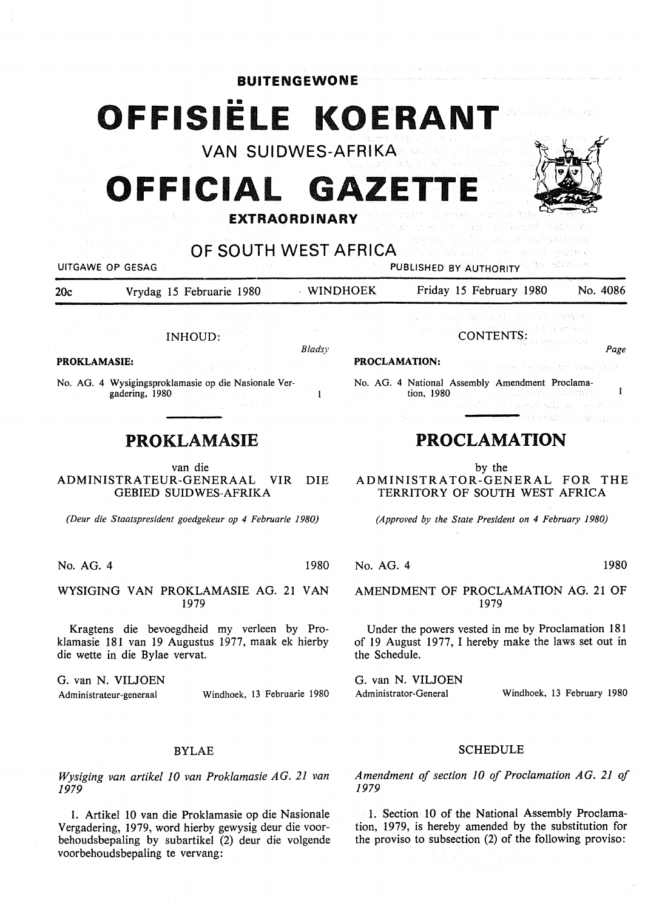**BUITENGEWONE** 

# **OFFISIELE KOERAN**

**VAN SUIDWES-AFRIKA** 

# **OFFICIAL**



rsty in f

**EXTRAORDINARY** 

## **OF SOUTH WEST AFRICA**

**PROCLAMATION:** 

UITGAWE OP GESAG PUBLISHED BY AUTHORITY

20c Vrydag 15 Februarie 1980 MINDHOEK Friday 15 February 1980 No. 4086

*Bladsy* 

INHOUD:

**PROKLAMASIE:** 

No. AG. 4 Wysigingsproklamasie op die Nasionale Vergadering, 1980  $\mathbf{1}$ 

### PROKLAMASIE

van die ADMINISTRATEUR-GENERAAL VIR DIE GEBIED SUIDWES-AFRIKA

*(Deur die Staatspresident goedgekeur op 4 Februarie 1980)* 

No. AG. 4 1980

WYSIGING VAN PROKLAMASIE AG. 21 VAN 1979

Kragtens die bevoegdheid my verleen by Proklamasie 181 van 19 Augustus 1977, maak ek hierby die wette in die Bylae vervat.

G. van N. VILJOEN Administrateur-generaal Windhoek, 13 Februarie 1980

#### BYLAE

*Wysiging van artikel 10 van Proklamasie AG. 21 van 1979* 

1. Artikel 10 van die Proklamasie op die Nasionale Vergadering, 1979, word hierby gewysig deur die voorbehoudsbepaling by subartikel (2) deur die volgende voorbehoudsbepaling te vervang:

化三氟化物 医结肠炎 医单元的 建氯甲酸

No. AG. 4 National Assembly Amendment Proclama- $\mathbf{1}$ tion, 1980

CONTENTS:

### **PROCLAMATION**

by the

ADMINISTRATOR-GENERAL FOR THE TERRITORY OF SOUTH WEST AFRICA

*(Approved by the State President on 4 February 1980)* 

No. AG. 4 1980

*Page* 

AMENDMENT OF PROCLAMATION AG. 21 OF 1979

Under the powers vested in me by Proclamation 181 of 19 August 1977, I hereby make the laws set out in the Schedule.

G. van N. VILJOEN Administrator-General Windhoek, 13 February 1980

#### SCHEDULE

*Amendment of section 10 of Proclamation AG. 21 of 1979* 

1. Section IO of the National Assembly Proclamation, 1979, is hereby amended by the substitution for the proviso to subsection (2) of the following proviso: